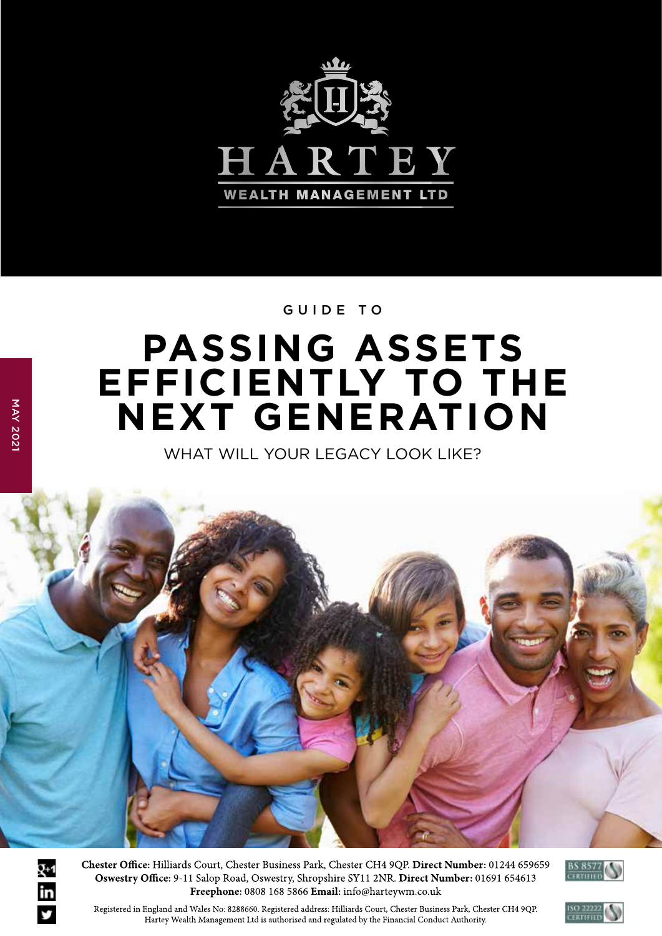

### GUIDE TO

# **PASSING ASSETS EFFICIENTLY TO THE NEXT GENERATION**

WHAT WILL YOUR LEGACY LOOK LIKE?



Chester Office: Hilliards Court, Chester Business Park, Chester CH4 9QP. Direct Number: 01244 659659 Oswestry Office: 9-11 Salop Road, Oswestry, Shropshire SY11 2NR. Direct Number: 01691 654613 Freephone: 0808 168 5866 Email: info@harteywm.co.uk



Registered in England and Wales No: 8288660. Registered address: Hilliards Court, Chester Business Park, Chester CH4 9QP. Hartey Wealth Management Ltd is authorised and regulated by the Financial Conduct Authority.

g+1<br>in

y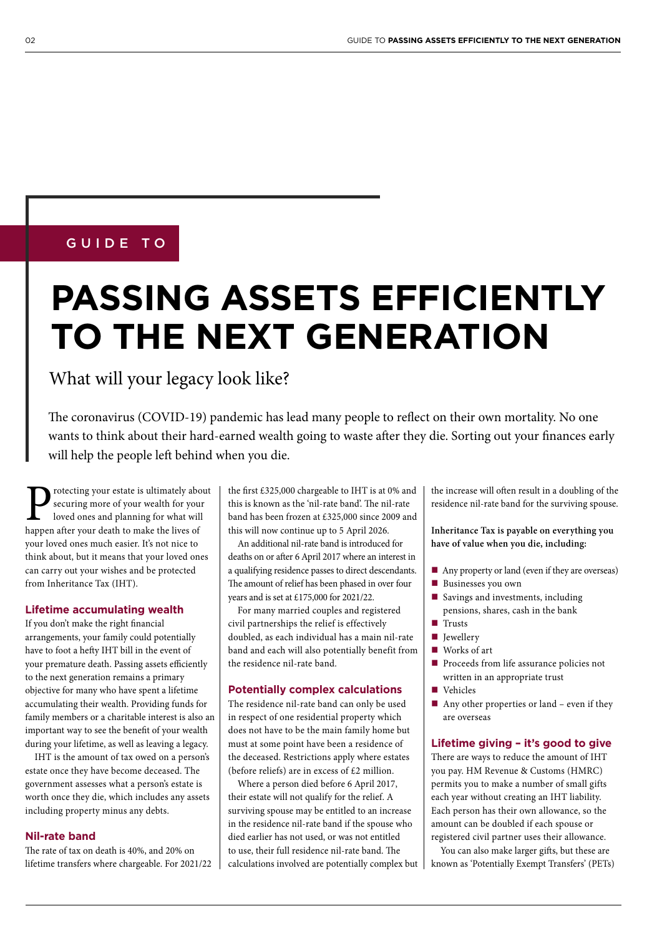### GUIDE TO

# **PASSING ASSETS EFFICIENTLY TO THE NEXT GENERATION**

What will your legacy look like?

The coronavirus (COVID-19) pandemic has lead many people to reflect on their own mortality. No one wants to think about their hard-earned wealth going to waste after they die. Sorting out your finances early will help the people left behind when you die.

Protecting your estate is ultimately about<br>securing more of your wealth for your<br>loved ones and planning for what will<br>happen after your death to make the lives of securing more of your wealth for your loved ones and planning for what will happen after your death to make the lives of your loved ones much easier. It's not nice to think about, but it means that your loved ones can carry out your wishes and be protected from Inheritance Tax (IHT).

#### **Lifetime accumulating wealth**

If you don't make the right financial arrangements, your family could potentially have to foot a hefty IHT bill in the event of your premature death. Passing assets efficiently to the next generation remains a primary objective for many who have spent a lifetime accumulating their wealth. Providing funds for family members or a charitable interest is also an important way to see the benefit of your wealth during your lifetime, as well as leaving a legacy.

IHT is the amount of tax owed on a person's estate once they have become deceased. The government assesses what a person's estate is worth once they die, which includes any assets including property minus any debts.

#### **Nil-rate band**

The rate of tax on death is 40%, and 20% on lifetime transfers where chargeable. For 2021/22 the first  $£325,000$  chargeable to IHT is at 0% and this is known as the 'nil-rate band'. The nil-rate band has been frozen at £325,000 since 2009 and this will now continue up to 5 April 2026.

An additional nil-rate band is introduced for deaths on or after 6 April 2017 where an interest in a qualifying residence passes to direct descendants. The amount of relief has been phased in over four years and is set at £175,000 for 2021/22.

For many married couples and registered civil partnerships the relief is effectively doubled, as each individual has a main nil-rate band and each will also potentially benefit from the residence nil-rate band.

#### **Potentially complex calculations**

The residence nil-rate band can only be used in respect of one residential property which does not have to be the main family home but must at some point have been a residence of the deceased. Restrictions apply where estates (before reliefs) are in excess of £2 million.

Where a person died before 6 April 2017, their estate will not qualify for the relief. A surviving spouse may be entitled to an increase in the residence nil-rate band if the spouse who died earlier has not used, or was not entitled to use, their full residence nil-rate band. The calculations involved are potentially complex but

the increase will often result in a doubling of the residence nil-rate band for the surviving spouse.

**Inheritance Tax is payable on everything you have of value when you die, including:**

- Any property or land (even if they are overseas)
- Businesses you own
- Savings and investments, including pensions, shares, cash in the bank
- **Trusts**
- $\blacksquare$  Iewellery
- Works of art
- **Proceeds from life assurance policies not** written in an appropriate trust
- Vehicles
- Any other properties or land even if they are overseas

#### **Lifetime giving – it's good to give**

There are ways to reduce the amount of IHT you pay. HM Revenue & Customs (HMRC) permits you to make a number of small gifts each year without creating an IHT liability. Each person has their own allowance, so the amount can be doubled if each spouse or registered civil partner uses their allowance.

You can also make larger gifts, but these are known as 'Potentially Exempt Transfers' (PETs)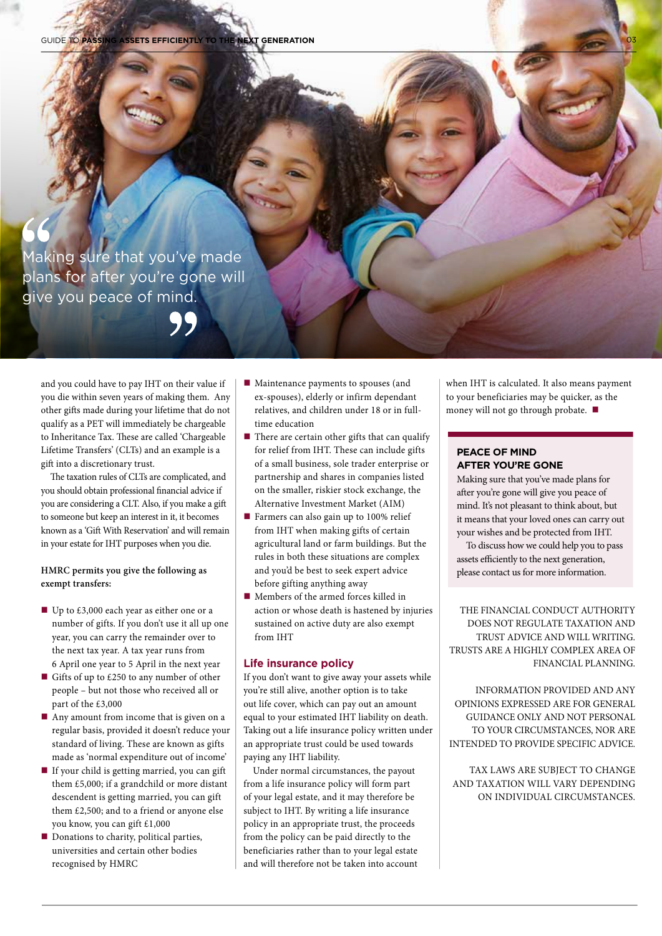Making sure that you've made plans for after you're gone will give you peace of mind.

99

and you could have to pay IHT on their value if you die within seven years of making them. Any other gifts made during your lifetime that do not qualify as a PET will immediately be chargeable to Inheritance Tax. These are called 'Chargeable Lifetime Transfers' (CLTs) and an example is a gift into a discretionary trust.

The taxation rules of CLTs are complicated, and you should obtain professional financial advice if you are considering a CLT. Also, if you make a gift to someone but keep an interest in it, it becomes known as a 'Gift With Reservation' and will remain in your estate for IHT purposes when you die.

#### **HMRC permits you give the following as exempt transfers:**

- Up to £3,000 each year as either one or a number of gifts. If you don't use it all up one year, you can carry the remainder over to the next tax year. A tax year runs from 6 April one year to 5 April in the next year
- Gifts of up to £250 to any number of other people – but not those who received all or part of the £3,000
- Any amount from income that is given on a regular basis, provided it doesn't reduce your standard of living. These are known as gifts made as 'normal expenditure out of income'
- If your child is getting married, you can gift them £5,000; if a grandchild or more distant descendent is getting married, you can gift them £2,500; and to a friend or anyone else you know, you can gift £1,000
- Donations to charity, political parties, universities and certain other bodies recognised by HMRC
- Maintenance payments to spouses (and ex-spouses), elderly or infirm dependant relatives, and children under 18 or in fulltime education
- $\blacksquare$  There are certain other gifts that can qualify for relief from IHT. These can include gifts of a small business, sole trader enterprise or partnership and shares in companies listed on the smaller, riskier stock exchange, the Alternative Investment Market (AIM)
- **Farmers can also gain up to 100% relief** from IHT when making gifts of certain agricultural land or farm buildings. But the rules in both these situations are complex and you'd be best to seek expert advice before gifting anything away
- Members of the armed forces killed in action or whose death is hastened by injuries sustained on active duty are also exempt from IHT

#### **Life insurance policy**

If you don't want to give away your assets while you're still alive, another option is to take out life cover, which can pay out an amount equal to your estimated IHT liability on death. Taking out a life insurance policy written under an appropriate trust could be used towards paying any IHT liability.

Under normal circumstances, the payout from a life insurance policy will form part of your legal estate, and it may therefore be subject to IHT. By writing a life insurance policy in an appropriate trust, the proceeds from the policy can be paid directly to the beneficiaries rather than to your legal estate and will therefore not be taken into account when IHT is calculated. It also means payment to your beneficiaries may be quicker, as the money will not go through probate.

#### **PEACE OF MIND AFTER YOU'RE GONE**

Making sure that you've made plans for after you're gone will give you peace of mind. It's not pleasant to think about, but it means that your loved ones can carry out your wishes and be protected from IHT.

To discuss how we could help you to pass assets efficiently to the next generation, please contact us for more information.

THE FINANCIAL CONDUCT AUTHORITY DOES NOT REGULATE TAXATION AND TRUST ADVICE AND WILL WRITING. TRUSTS ARE A HIGHLY COMPLEX AREA OF FINANCIAL PLANNING.

INFORMATION PROVIDED AND ANY OPINIONS EXPRESSED ARE FOR GENERAL GUIDANCE ONLY AND NOT PERSONAL TO YOUR CIRCUMSTANCES, NOR ARE INTENDED TO PROVIDE SPECIFIC ADVICE.

TAX LAWS ARE SUBJECT TO CHANGE AND TAXATION WILL VARY DEPENDING ON INDIVIDUAL CIRCUMSTANCES.